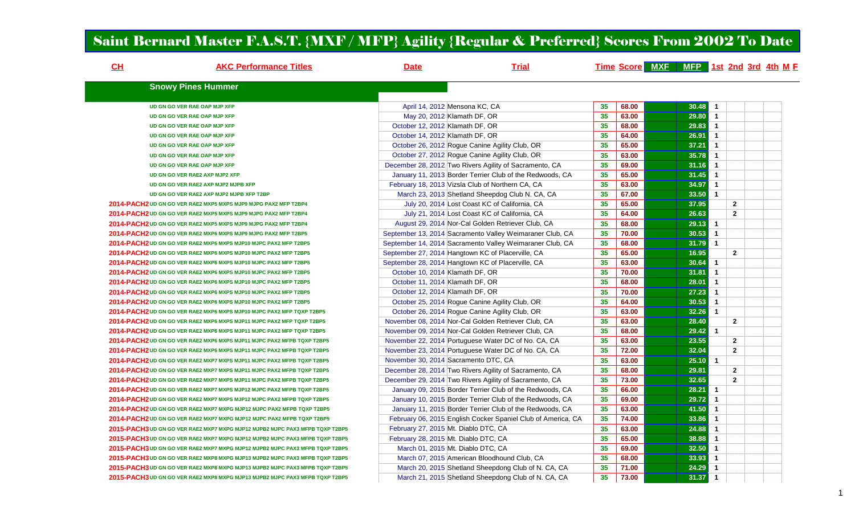## Saint Bernard Master F.A.S.T. {MXF / MFP} Agility {Regular & Preferred} Scores From 2002 To Date

| CL | <b>AKC Performance Titles</b>                                                | <b>Date</b>                     | <b>Trial</b>                                                 |    |       | Time Score MXF MFP 1st 2nd 3rd 4th M F |                |                |  |
|----|------------------------------------------------------------------------------|---------------------------------|--------------------------------------------------------------|----|-------|----------------------------------------|----------------|----------------|--|
|    | <b>Snowy Pines Hummer</b>                                                    |                                 |                                                              |    |       |                                        |                |                |  |
|    | <b>UD GN GO VER RAE OAP MJP XFP</b>                                          |                                 | April 14, 2012 Mensona KC, CA                                | 35 | 68.00 | 30.48                                  | $\mathbf{1}$   |                |  |
|    | UD GN GO VER RAE OAP MJP XFP                                                 |                                 | May 20, 2012 Klamath DF, OR                                  | 35 | 63.00 | 29.80                                  | $\overline{1}$ |                |  |
|    | UD GN GO VER RAE OAP MJP XFP                                                 | October 12, 2012 Klamath DF, OR |                                                              | 35 | 68.00 | 29.83                                  | $\mathbf{1}$   |                |  |
|    | UD GN GO VER RAE OAP MJP XFP                                                 | October 14, 2012 Klamath DF, OR |                                                              | 35 | 64.00 | 26.91                                  | $\mathbf{1}$   |                |  |
|    | UD GN GO VER RAE OAP MJP XFP                                                 |                                 | October 26, 2012 Rogue Canine Agility Club, OR               | 35 | 65.00 | 37.21                                  | $\mathbf{1}$   |                |  |
|    | UD GN GO VER RAE OAP MJP XFP                                                 |                                 | October 27, 2012 Rogue Canine Agility Club, OR               | 35 | 63.00 | 35.78                                  | $\mathbf{1}$   |                |  |
|    | UD GN GO VER RAE OAP MJP XFP                                                 |                                 | December 28, 2012 Two Rivers Agility of Sacramento, CA       | 35 | 69.00 | 31.16                                  | $\mathbf{1}$   |                |  |
|    | UD GN GO VER RAE2 AXP MJP2 XFP                                               |                                 | January 11, 2013 Border Terrier Club of the Redwoods, CA     | 35 | 65.00 | 31.45                                  | $\mathbf{1}$   |                |  |
|    | UD GN GO VER RAE2 AXP MJP2 MJPB XFP                                          |                                 | February 18, 2013 Vizsla Club of Northern CA, CA             | 35 | 63.00 | 34.97                                  | $\mathbf{1}$   |                |  |
|    | UD GN GO VER RAE2 AXP MJP2 MJPB XFP T2BP                                     |                                 | March 23, 2013 Shetland Sheepdog Club N. CA, CA              | 35 | 67.00 | 33.50                                  | $\mathbf{1}$   |                |  |
|    | 2014-PACH2 UD GN GO VER RAE2 MXP5 MXPS MJP9 MJPG PAX2 MFP T2BP4              |                                 | July 20, 2014 Lost Coast KC of California, CA                | 35 | 65.00 | 37.95                                  |                | $\overline{2}$ |  |
|    | 2014-PACH2 UD GN GO VER RAE2 MXP5 MXPS MJP9 MJPG PAX2 MFP T2BP4              |                                 | July 21, 2014 Lost Coast KC of California, CA                | 35 | 64.00 | 26.63                                  |                | $\mathbf{2}$   |  |
|    | 2014-PACH2 UD GN GO VER RAE2 MXP5 MXPS MJP9 MJPG PAX2 MFP T2BP4              |                                 | August 29, 2014 Nor-Cal Golden Retriever Club, CA            | 35 | 68.00 | 29.13                                  | $\mathbf{1}$   |                |  |
|    | 2014-PACH2 UD GN GO VER RAE2 MXP6 MXPS MJP9 MJPG PAX2 MFP T2BP5              |                                 | September 13, 2014 Sacramento Valley Weimaraner Club, CA     | 35 | 70.00 | 30.53                                  | $\mathbf{1}$   |                |  |
|    | 2014-PACH2 UD GN GO VER RAE2 MXP6 MXPS MJP10 MJPC PAX2 MFP T2BP5             |                                 | September 14, 2014 Sacramento Valley Weimaraner Club, CA     | 35 | 68.00 | 31.79                                  | $\mathbf{1}$   |                |  |
|    | 2014-PACH2 UD GN GO VER RAE2 MXP6 MXPS MJP10 MJPC PAX2 MFP T2BP5             |                                 | September 27, 2014 Hangtown KC of Placerville, CA            | 35 | 65.00 | 16.95                                  |                | $\overline{2}$ |  |
|    | 2014-PACH2 UD GN GO VER RAE2 MXP6 MXPS MJP10 MJPC PAX2 MFP T2BP5             |                                 | September 28, 2014 Hangtown KC of Placerville, CA            | 35 | 63.00 | 30.64                                  | $\mathbf{1}$   |                |  |
|    | 2014-PACH2 UD GN GO VER RAE2 MXP6 MXPS MJP10 MJPC PAX2 MFP T2BP5             |                                 | October 10, 2014 Klamath DF, OR                              | 35 | 70.00 | 31.81                                  | $\mathbf{1}$   |                |  |
|    | 2014-PACH2 UD GN GO VER RAE2 MXP6 MXPS MJP10 MJPC PAX2 MFP T2BP5             | October 11, 2014 Klamath DF, OR |                                                              | 35 | 68.00 | 28.01                                  | $\mathbf{1}$   |                |  |
|    | 2014-PACH2 UD GN GO VER RAE2 MXP6 MXPS MJP10 MJPC PAX2 MFP T2BP5             | October 12, 2014 Klamath DF, OR |                                                              | 35 | 70.00 | 27.23                                  | $\mathbf{1}$   |                |  |
|    | 2014-PACH2 UD GN GO VER RAE2 MXP6 MXPS MJP10 MJPC PAX2 MFP T2BP5             |                                 | October 25, 2014 Rogue Canine Agility Club, OR               | 35 | 64.00 | 30.53                                  | $\mathbf{1}$   |                |  |
|    | 2014-PACH2 UD GN GO VER RAE2 MXP6 MXPS MJP10 MJPC PAX2 MFP TQXP T2BP5        |                                 | October 26, 2014 Rogue Canine Agility Club, OR               | 35 | 63.00 | 32.26                                  | $\mathbf{1}$   |                |  |
|    | 2014-PACH2 UD GN GO VER RAE2 MXP6 MXPS MJP11 MJPC PAX2 MFP TQXP T2BP5        |                                 | November 08, 2014 Nor-Cal Golden Retriever Club, CA          | 35 | 63.00 | 28.40                                  |                | $\overline{2}$ |  |
|    | 2014-PACH2 UD GN GO VER RAE2 MXP6 MXPS MJP11 MJPC PAX2 MFP TQXP T2BP5        |                                 | November 09, 2014 Nor-Cal Golden Retriever Club, CA          | 35 | 68.00 | 29.42                                  | $\mathbf{1}$   |                |  |
|    | 2014-PACH2 UD GN GO VER RAE2 MXP6 MXPS MJP11 MJPC PAX2 MFPB TQXP T2BP5       |                                 | November 22, 2014 Portuguese Water DC of No. CA, CA          | 35 | 63.00 | 23.55                                  |                | $\mathbf{2}$   |  |
|    | 2014-PACH2 UD GN GO VER RAE2 MXP6 MXPS MJP11 MJPC PAX2 MFPB TQXP T2BP5       |                                 | November 23, 2014 Portuguese Water DC of No. CA, CA          | 35 | 72.00 | 32.04                                  |                | $\overline{2}$ |  |
|    | 2014-PACH2 UD GN GO VER RAE2 MXP7 MXPS MJP11 MJPC PAX2 MFPB TQXP T2BP5       |                                 | November 30, 2014 Sacramento DTC, CA                         | 35 | 63.00 | 25.10                                  | $\mathbf{1}$   |                |  |
|    | 2014-PACH2 UD GN GO VER RAE2 MXP7 MXPS MJP11 MJPC PAX2 MFPB TQXP T2BP5       |                                 | December 28, 2014 Two Rivers Agility of Sacramento, CA       | 35 | 68.00 | 29.81                                  |                | $\mathbf{2}$   |  |
|    | 2014-PACH2 UD GN GO VER RAE2 MXP7 MXPS MJP11 MJPC PAX2 MFPB TQXP T2BP5       |                                 | December 29, 2014 Two Rivers Agility of Sacramento, CA       | 35 | 73.00 | 32.65                                  |                | $\overline{2}$ |  |
|    | 2014-PACH2 UD GN GO VER RAE2 MXP7 MXPS MJP12 MJPC PAX2 MFPB TQXP T2BP5       |                                 | January 09, 2015 Border Terrier Club of the Redwoods, CA     | 35 | 66.00 | 28.21                                  | $\mathbf{1}$   |                |  |
|    | 2014-PACH2 UD GN GO VER RAE2 MXP7 MXPS MJP12 MJPC PAX2 MFPB TQXP T2BP5       |                                 | January 10, 2015 Border Terrier Club of the Redwoods, CA     | 35 | 69.00 | 29.72                                  | $\mathbf{1}$   |                |  |
|    | 2014-PACH2 UD GN GO VER RAE2 MXP7 MXPG MJP12 MJPC PAX2 MFPB TQXP T2BP5       |                                 | January 11, 2015 Border Terrier Club of the Redwoods, CA     | 35 | 63.00 | 41.50                                  | $\mathbf{1}$   |                |  |
|    | 2014-PACH2 UD GN GO VER RAE2 MXP7 MXPG MJP12 MJPC PAX2 MFPB TQXP T2BP5       |                                 | February 06, 2015 English Cocker Spaniel Club of America, CA | 35 | 74.00 | 33.86                                  | $\mathbf{1}$   |                |  |
|    | 2015-PACH3 UD GN GO VER RAE2 MXP7 MXPG MJP12 MJPB2 MJPC PAX3 MFPB TQXP T2BP5 |                                 | February 27, 2015 Mt. Diablo DTC, CA                         | 35 | 63.00 | 24.88                                  | $\mathbf{1}$   |                |  |
|    | 2015-PACH3 UD GN GO VER RAE2 MXP7 MXPG MJP12 MJPB2 MJPC PAX3 MFPB TQXP T2BP5 |                                 | February 28, 2015 Mt. Diablo DTC, CA                         | 35 | 65.00 | 38.88                                  | $\mathbf{1}$   |                |  |
|    | 2015-PACH3 UD GN GO VER RAE2 MXP7 MXPG MJP12 MJPB2 MJPC PAX3 MFPB TQXP T2BP5 |                                 | March 01, 2015 Mt. Diablo DTC, CA                            | 35 | 69.00 | 32.50                                  | $\mathbf{1}$   |                |  |
|    | 2015-PACH3 UD GN GO VER RAE2 MXP8 MXPG MJP13 MJPB2 MJPC PAX3 MFPB TQXP T2BP5 |                                 | March 07, 2015 American Bloodhound Club, CA                  | 35 | 68.00 | 33.93                                  | $\mathbf{1}$   |                |  |
|    | 2015-PACH3 UD GN GO VER RAE2 MXP8 MXPG MJP13 MJPB2 MJPC PAX3 MFPB TQXP T2BP5 |                                 | March 20, 2015 Shetland Sheepdong Club of N. CA, CA          | 35 | 71.00 | 24.29                                  | $\mathbf{1}$   |                |  |
|    | 2015-PACH3 UD GN GO VER RAE2 MXP8 MXPG MJP13 MJPB2 MJPC PAX3 MFPB TQXP T2BP5 |                                 | March 21, 2015 Shetland Sheepdong Club of N. CA, CA          | 35 | 73.00 | 31.37                                  | $\overline{1}$ |                |  |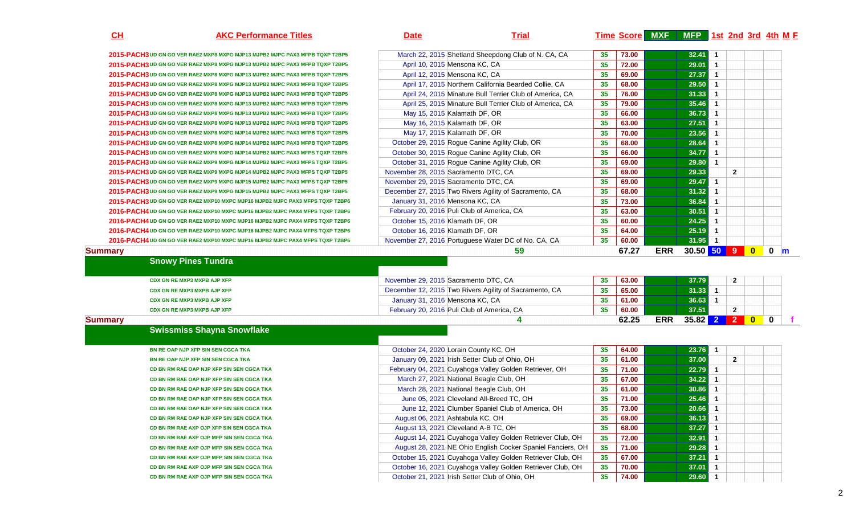## **AKC Performance Titles Date Trial Time Score MXF MFP 1st 2nd 3rd 4th <sup>M</sup> <sup>F</sup>**

| 2015-PACH3 UD GN GO VER RAE2 MXP8 MXPG MJP13 MJPB2 MJPC PAX3 MFPB TQXP T2BP5                                                 | March 22, 2015 Shetland Sheepdong Club of N. CA, CA                                                                      | 35              | 73.00          |            | 32.41                     | $\mathbf{1}$         |                |             |
|------------------------------------------------------------------------------------------------------------------------------|--------------------------------------------------------------------------------------------------------------------------|-----------------|----------------|------------|---------------------------|----------------------|----------------|-------------|
| 2015-PACH3 UD GN GO VER RAE2 MXP8 MXPG MJP13 MJPB2 MJPC PAX3 MFPB TQXP T2BP5                                                 | April 10, 2015 Mensona KC, CA                                                                                            | 35              | 72.00          |            | 29.01                     | $\overline{1}$       |                |             |
| 2015-PACH3 UD GN GO VER RAE2 MXP8 MXPG MJP13 MJPB2 MJPC PAX3 MFPB TQXP T2BP5                                                 | April 12, 2015 Mensona KC, CA                                                                                            | 35              | 69.00          |            | $27.37$ 1                 |                      |                |             |
| 2015-PACH3 UD GN GO VER RAE2 MXP8 MXPG MJP13 MJPB2 MJPC PAX3 MFPB TQXP T2BP5                                                 | April 17, 2015 Northern California Bearded Collie, CA                                                                    | 35              | 68.00          |            | 29.50                     | $\overline{1}$       |                |             |
| 2015-PACH3 UD GN GO VER RAE2 MXP8 MXPG MJP13 MJPB2 MJPC PAX3 MFPB TQXP T2BP5                                                 | April 24, 2015 Minature Bull Terrier Club of America, CA                                                                 | 35              | 76.00          |            | 31.33                     | $\blacktriangleleft$ |                |             |
| 2015-PACH3 UD GN GO VER RAE2 MXP8 MXPG MJP13 MJPB2 MJPC PAX3 MFPB TQXP T2BP5                                                 | April 25, 2015 Minature Bull Terrier Club of America, CA                                                                 | 35              | 79.00          |            | 35.46                     | $\overline{1}$       |                |             |
| 2015-PACH3 UD GN GO VER RAE2 MXP8 MXPG MJP13 MJPB2 MJPC PAX3 MFPB TQXP T2BP5                                                 | May 15, 2015 Kalamath DF, OR                                                                                             | 35              | 66.00          |            | 36.73                     | $\overline{1}$       |                |             |
| 2015-PACH3 UD GN GO VER RAE2 MXP8 MXPG MJP13 MJPB2 MJPC PAX3 MFPB TQXP T2BP5                                                 | May 16, 2015 Kalamath DF, OR                                                                                             | 35              | 63.00          |            | 27.51                     | $\mathbf{1}$         |                |             |
| 2015-PACH3 UD GN GO VER RAE2 MXP8 MXPG MJP14 MJPB2 MJPC PAX3 MFPB TQXP T2BP5                                                 | May 17, 2015 Kalamath DF, OR                                                                                             | 35              | 70.00          |            | 23.56                     | $\mathbf{1}$         |                |             |
| 2015-PACH3 UD GN GO VER RAE2 MXP8 MXPG MJP14 MJPB2 MJPC PAX3 MFPB TQXP T2BP5                                                 | October 29, 2015 Rogue Canine Agility Club, OR                                                                           | 35              | 68.00          |            | 28.64                     | $\blacktriangleleft$ |                |             |
| 2015-PACH3 UD GN GO VER RAE2 MXP8 MXPG MJP14 MJPB2 MJPC PAX3 MFPS TQXP T2BP5                                                 | October 30, 2015 Rogue Canine Agility Club, OR                                                                           | 35              | 66.00          |            | 34.77                     | $\overline{1}$       |                |             |
| 2015-PACH3 UD GN GO VER RAE2 MXP9 MXPG MJP14 MJPB2 MJPC PAX3 MFPS TQXP T2BP5                                                 | October 31, 2015 Rogue Canine Agility Club, OR                                                                           | 35              | 69.00          |            | 29.80                     | $\mathbf{1}$         |                |             |
| 2015-PACH3 UD GN GO VER RAE2 MXP9 MXPG MJP14 MJPB2 MJPC PAX3 MFPS TQXP T2BP5                                                 | November 28, 2015 Sacramento DTC, CA                                                                                     | 35              | 69.00          |            | 29.33                     |                      | $\mathbf{2}$   |             |
| 2015-PACH3 UD GN GO VER RAE2 MXP9 MXPG MJP15 MJPB2 MJPC PAX3 MFPS TQXP T2BP5                                                 | November 29, 2015 Sacramento DTC, CA                                                                                     | 35              | 69.00          |            | 29.47                     | $\blacktriangleleft$ |                |             |
| 2015-PACH3 UD GN GO VER RAE2 MXP9 MXPG MJP15 MJPB2 MJPC PAX3 MFPS TQXP T2BP5                                                 | December 27, 2015 Two Rivers Agility of Sacramento, CA                                                                   | 35              | 68.00          |            | 31.32                     | $\mathbf{1}$         |                |             |
| 2015-PACH3 UD GN GO VER RAE2 MXP10 MXPC MJP16 MJPB2 MJPC PAX3 MFPS TQXP T2BP6                                                | January 31, 2016 Mensona KC, CA                                                                                          | 35              | 73.00          |            | 36.84                     | $\mathbf{1}$         |                |             |
| 2016-PACH4 UD GN GO VER RAE2 MXP10 MXPC MJP16 MJPB2 MJPC PAX4 MFPS TQXP T2BP6                                                | February 20, 2016 Puli Club of America, CA                                                                               | 35              | 63.00          |            | 30.51                     | $\mathbf{1}$         |                |             |
| 2016-PACH4 UD GN GO VER RAE2 MXP10 MXPC MJP16 MJPB2 MJPC PAX4 MFPS TQXP T2BP6                                                | October 15, 2016 Klamath DF, OR                                                                                          | 35              | 60.00          |            | 24.25                     | $\overline{1}$       |                |             |
|                                                                                                                              | October 16, 2016 Klamath DF, OR                                                                                          | 35              | 64.00          |            | 25.19                     | $\overline{1}$       |                |             |
| 2016-PACH4 UD GN GO VER RAE2 MXP10 MXPC MJP16 MJPB2 MJPC PAX4 MFPS TQXP T2BP6                                                |                                                                                                                          |                 |                |            |                           |                      |                |             |
|                                                                                                                              |                                                                                                                          |                 |                |            |                           |                      |                |             |
| 2016-PACH4 UD GN GO VER RAE2 MXP10 MXPC MJP16 MJPB2 MJPC PAX4 MFPS TQXP T2BP6<br><b>Summary</b><br><b>Snowy Pines Tundra</b> | November 27, 2016 Portuguese Water DC of No. CA, CA<br>59                                                                | 35              | 60.00<br>67.27 | <b>ERR</b> | $31.95$ 1<br>30.50 50 9 0 |                      |                | $\mathbf 0$ |
|                                                                                                                              |                                                                                                                          |                 |                |            |                           |                      |                |             |
| CDX GN RE MXP3 MXPB AJP XFP                                                                                                  | November 29, 2015 Sacramento DTC, CA                                                                                     | 35              | 63.00          |            | 37.79                     |                      | $\mathbf{2}$   |             |
| CDX GN RE MXP3 MXPB AJP XFP                                                                                                  | December 12, 2015 Two Rivers Agility of Sacramento, CA                                                                   | 35              | 65.00          |            | $31.33$ 1                 |                      |                |             |
| CDX GN RE MXP3 MXPB AJP XFP                                                                                                  | January 31, 2016 Mensona KC, CA                                                                                          | 35              | 61.00          |            | 36.63                     | $\mathbf{1}$         |                |             |
| CDX GN RE MXP3 MXPB AJP XFP                                                                                                  | February 20, 2016 Puli Club of America, CA                                                                               | 35              | 60.00          |            | 37.51                     |                      | $\mathbf{2}$   |             |
| <b>Summary</b>                                                                                                               | 4                                                                                                                        |                 | 62.25          | <b>ERR</b> | 35.82 2 2 0               |                      |                | $\mathbf 0$ |
| <b>Swissmiss Shayna Snowflake</b>                                                                                            |                                                                                                                          |                 |                |            |                           |                      |                |             |
| BN RE OAP NJP XFP SIN SEN CGCA TKA                                                                                           | October 24, 2020 Lorain County KC, OH                                                                                    | 35 <sub>5</sub> | 64.00          |            | $23.76$ 1                 |                      |                |             |
| BN RE OAP NJP XFP SIN SEN CGCA TKA                                                                                           | January 09, 2021 Irish Setter Club of Ohio, OH                                                                           | 35              | 61.00          |            | 37.00                     |                      | $\overline{2}$ |             |
| CD BN RM RAE OAP NJP XFP SIN SEN CGCA TKA                                                                                    | February 04, 2021 Cuyahoga Valley Golden Retriever, OH                                                                   | 35              | 71.00          |            | $22.79$ 1                 |                      |                |             |
| CD BN RM RAE OAP NJP XFP SIN SEN CGCA TKA                                                                                    | March 27, 2021 National Beagle Club, OH                                                                                  | 35              | 67.00          |            | 34.22                     | $\overline{1}$       |                |             |
| CD BN RM RAE OAP NJP XFP SIN SEN CGCA TKA                                                                                    | March 28, 2021 National Beagle Club, OH                                                                                  | 35              | 61.00          |            | 30.86                     | $\overline{1}$       |                |             |
| CD BN RM RAE OAP NJP XFP SIN SEN CGCA TKA                                                                                    | June 05, 2021 Cleveland All-Breed TC, OH                                                                                 | 35              | 71.00          |            | 25.46                     | $\overline{1}$       |                |             |
| CD BN RM RAE OAP NJP XFP SIN SEN CGCA TKA                                                                                    | June 12, 2021 Clumber Spaniel Club of America, OH                                                                        | 35              | 73.00          |            | 20.66                     | $\overline{1}$       |                |             |
| CD BN RM RAE OAP NJP XFP SIN SEN CGCA TKA                                                                                    |                                                                                                                          | 35              | 69.00          |            | 36.13                     | $\blacktriangleleft$ |                |             |
| CD BN RM RAE AXP OJP XFP SIN SEN CGCA TKA                                                                                    | August 06, 2021 Ashtabula KC, OH                                                                                         |                 |                |            |                           | $\mathbf{1}$         |                |             |
| CD BN RM RAE AXP OJP MFP SIN SEN CGCA TKA                                                                                    | August 13, 2021 Cleveland A-B TC, OH                                                                                     | 35              | 68.00<br>72.00 |            | 37.27                     | $\mathbf{1}$         |                |             |
| CD BN RM RAE AXP OJP MFP SIN SEN CGCA TKA                                                                                    | August 14, 2021 Cuyahoga Valley Golden Retriever Club, OH                                                                | 35              |                |            | 32.91                     | $\mathbf{1}$         |                |             |
| CD BN RM RAE AXP OJP MFP SIN SEN CGCA TKA                                                                                    | August 28, 2021 NE Ohio English Cocker Spaniel Fanciers, OH                                                              | 35              | 71.00          |            | 29.28                     | $\blacktriangleleft$ |                |             |
| CD BN RM RAE AXP OJP MFP SIN SEN CGCA TKA                                                                                    | October 15, 2021 Cuyahoga Valley Golden Retriever Club, OH<br>October 16, 2021 Cuyahoga Valley Golden Retriever Club, OH | 35<br>35        | 67.00<br>70.00 |            | 37.21<br>37.01            | -1                   |                | m           |

**CH**